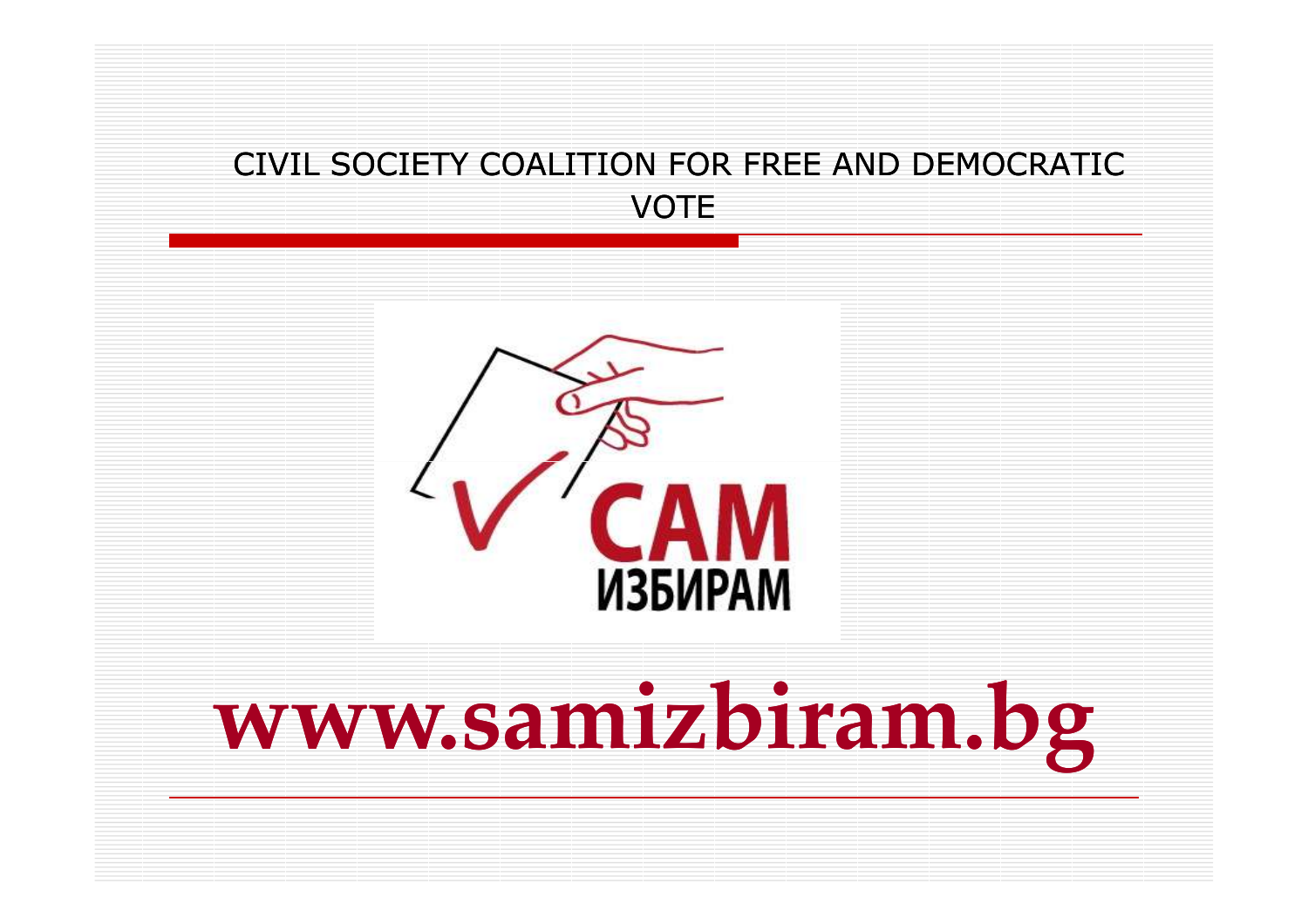#### CIVIL SOCIETY COALITION FOR FREE AND DEMOCRATIC VOTE



# www.samizbiram.bg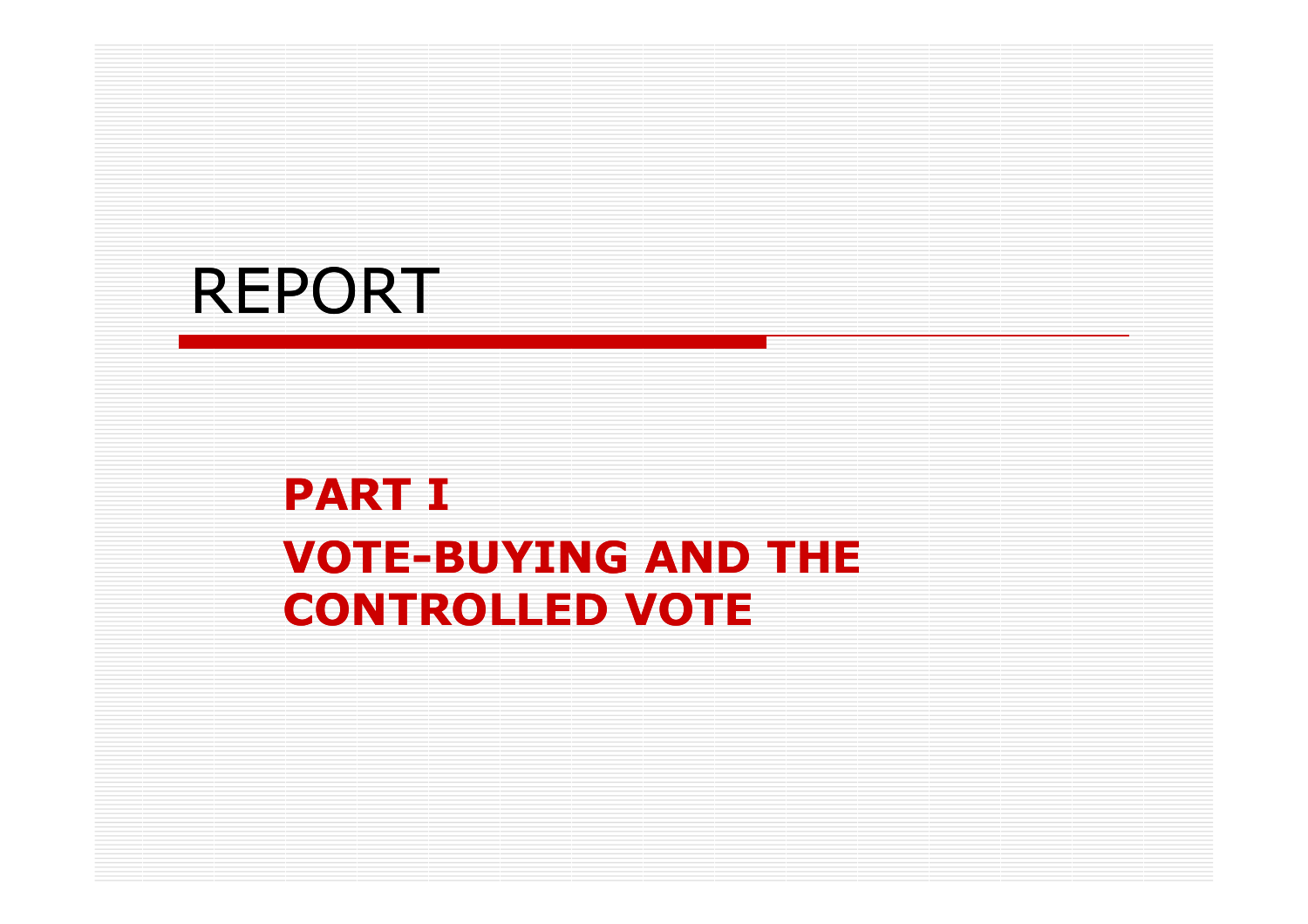# REPORT

## PART I**VOTE-BUYING AND THE** CONTROLLED VOTE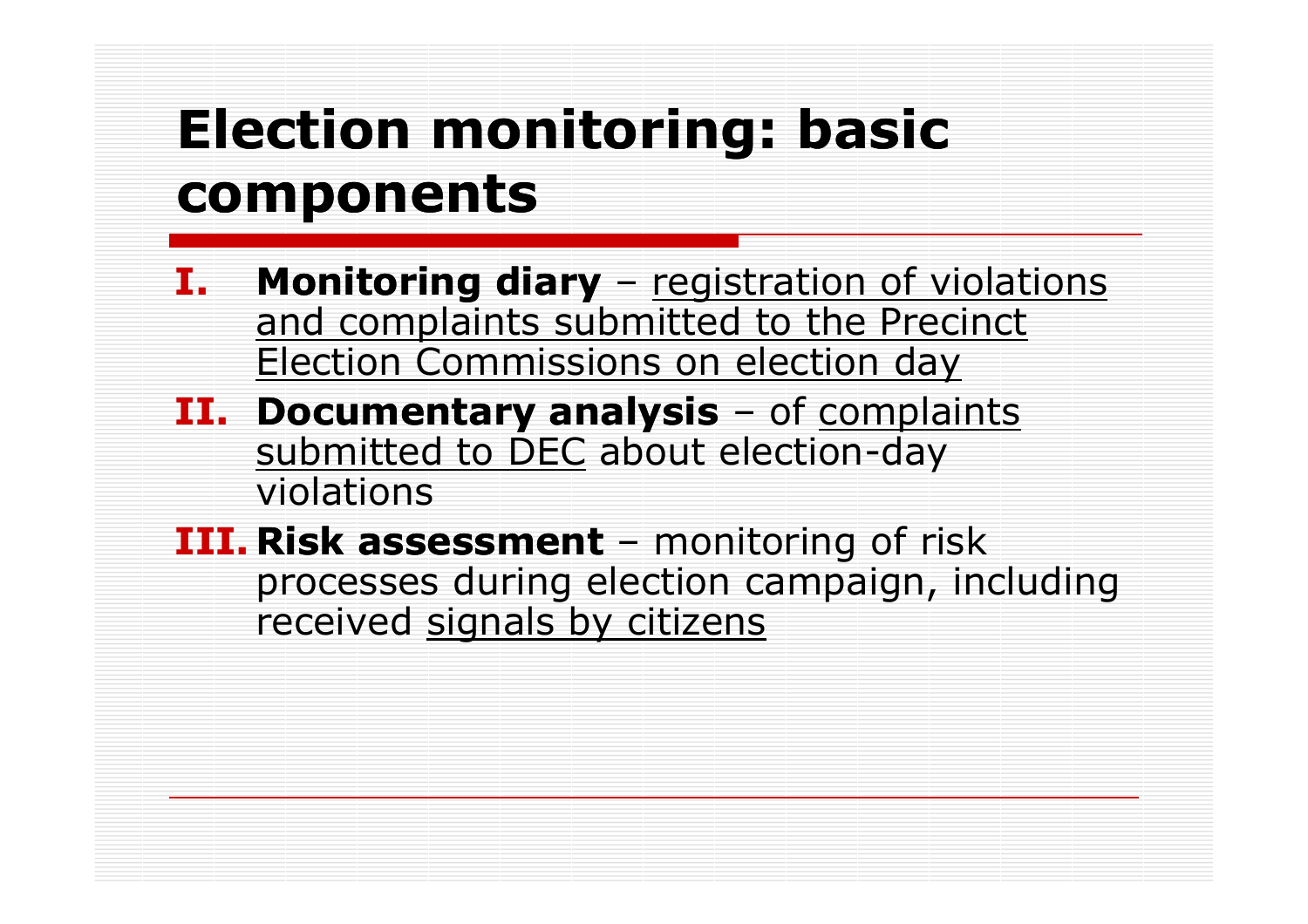# Election monitoring: basic components

- I.**Monitoring diary** – registration of violations<br>and complaints submitted to the Precinct and complaints submitted to the Precinct Election Commissions on election day
- **II. Documentary analysis** of complaints<br>submitted to DFC about election-dav submitted to DEC about election-day<br>violations violations
- **III. Risk assessment** monitoring of risk<br>processes during election campaign, inc processes during election campaign, including received signals by citizens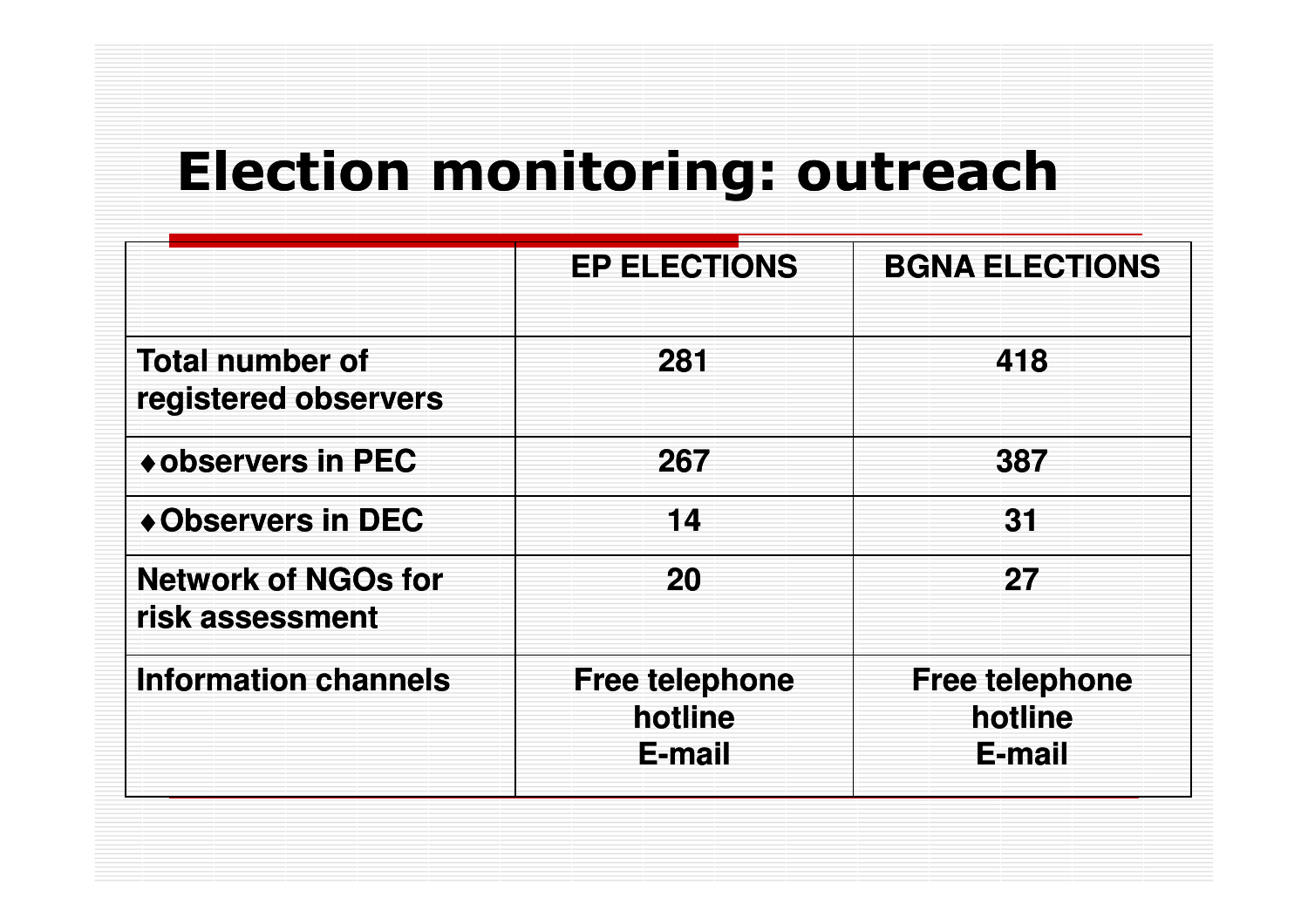# Election monitoring: outreach

|                                                | <b>EP ELECTIONS</b>                        | <b>BGNA ELECTIONS</b>                      |
|------------------------------------------------|--------------------------------------------|--------------------------------------------|
| <b>Total number of</b><br>registered observers | 281                                        | 418                                        |
| ◆ observers in PEC                             | 267                                        | 387                                        |
| ◆ Observers in DEC                             | 14                                         | 31                                         |
| <b>Network of NGOs for</b><br>risk assessment  | 20                                         | 27                                         |
| <b>Information channels</b>                    | <b>Free telephone</b><br>hotline<br>E-mail | <b>Free telephone</b><br>hotline<br>E-mail |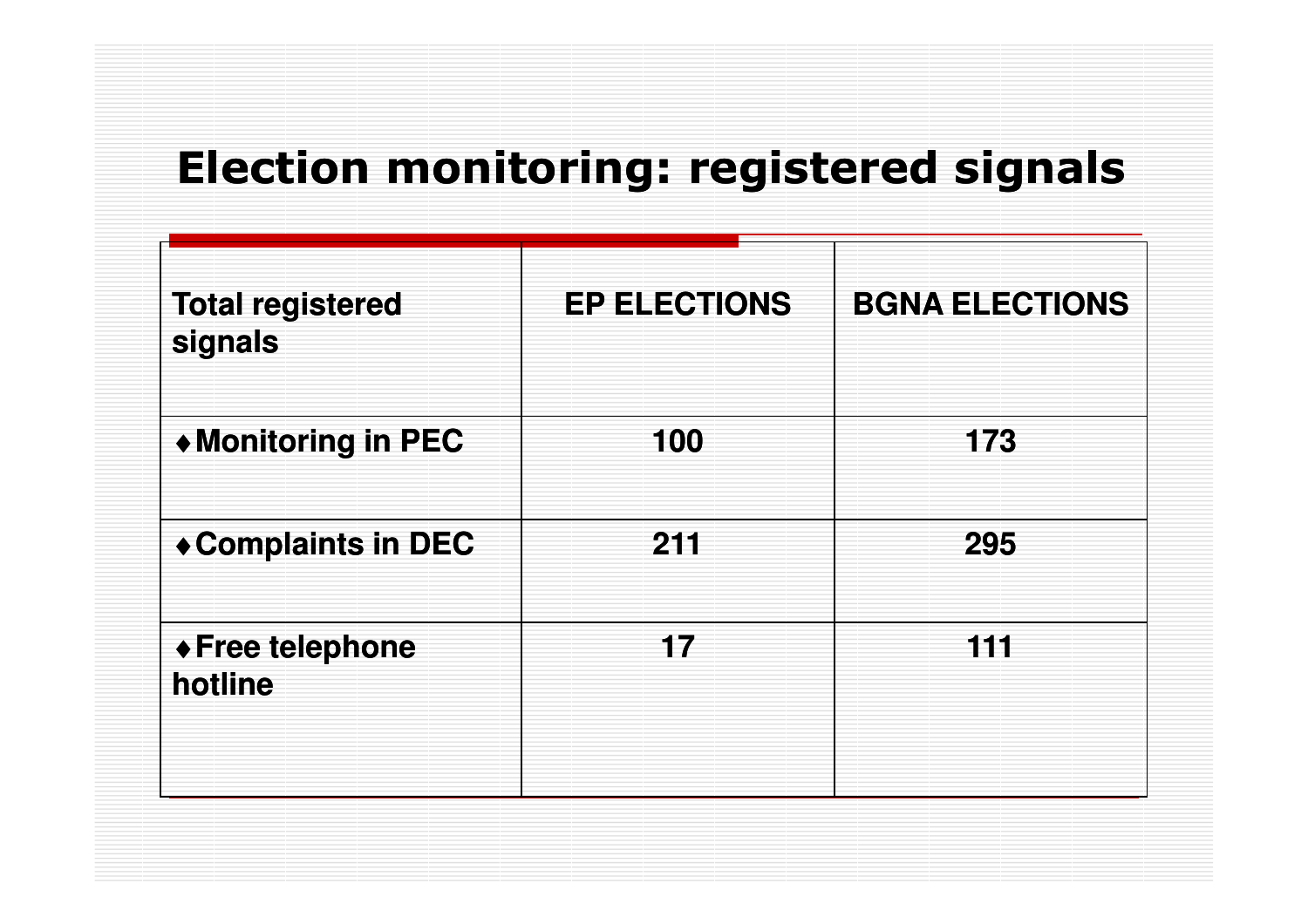### Election monitoring: registered signals

| <b>Total registered</b><br>signals | <b>EP ELECTIONS</b> | <b>BGNA ELECTIONS</b> |
|------------------------------------|---------------------|-----------------------|
| ◆ Monitoring in PEC                | 100                 | 173                   |
| ◆ Complaints in DEC                | 211                 | 295                   |
| ◆ Free telephone<br>hotline        | 17                  | 111                   |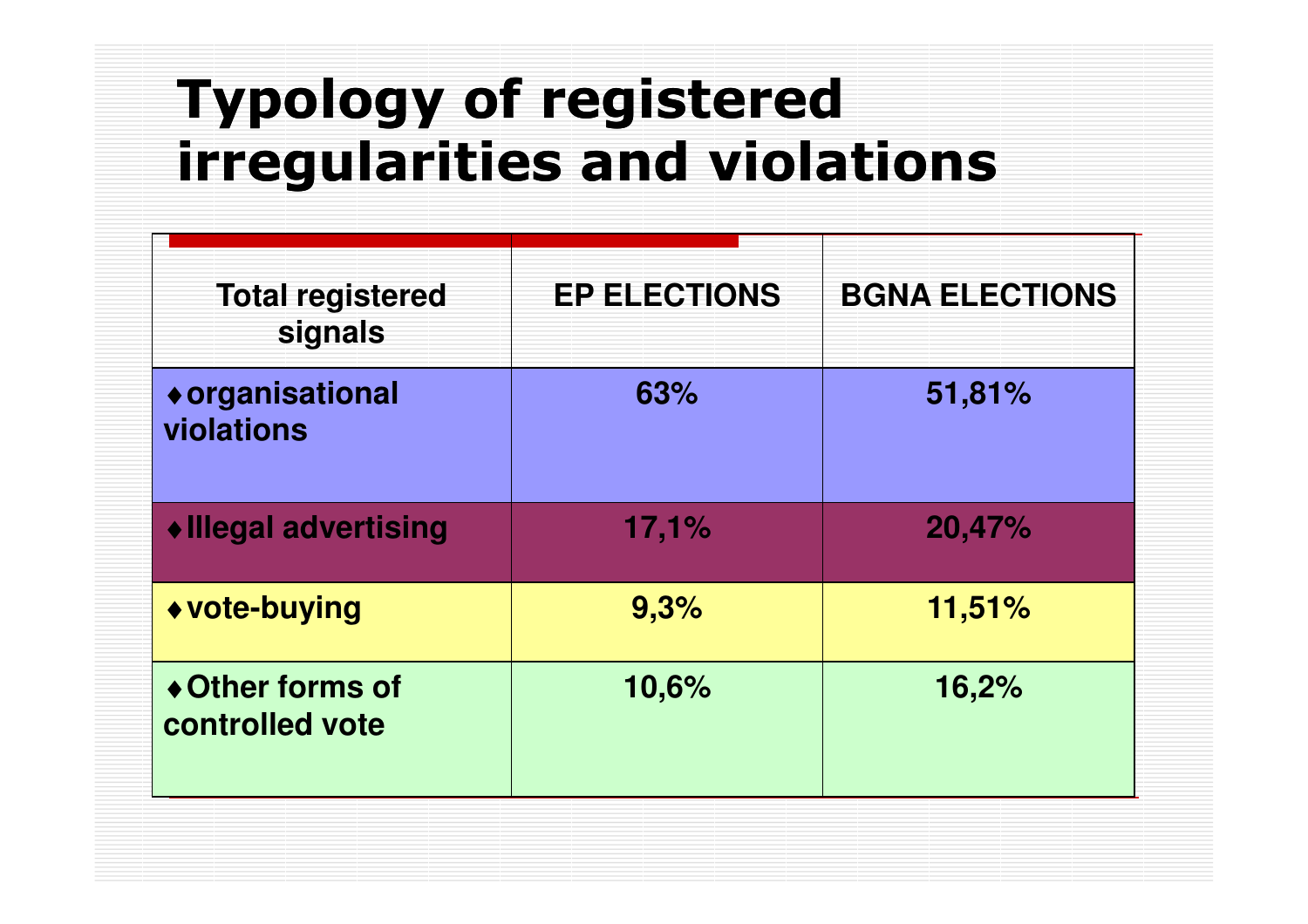# Typology of registered irregularities and violations

| <b>Total registered</b><br>signals  | <b>EP ELECTIONS</b> | <b>BGNA ELECTIONS</b> |
|-------------------------------------|---------------------|-----------------------|
| ◆ organisational<br>violations      | 63%                 | 51,81%                |
| ◆ Illegal advertising               | 17,1%               | 20,47%                |
| ◆ vote-buying                       | 9,3%                | 11,51%                |
| ◆ Other forms of<br>controlled vote | 10,6%               | 16,2%                 |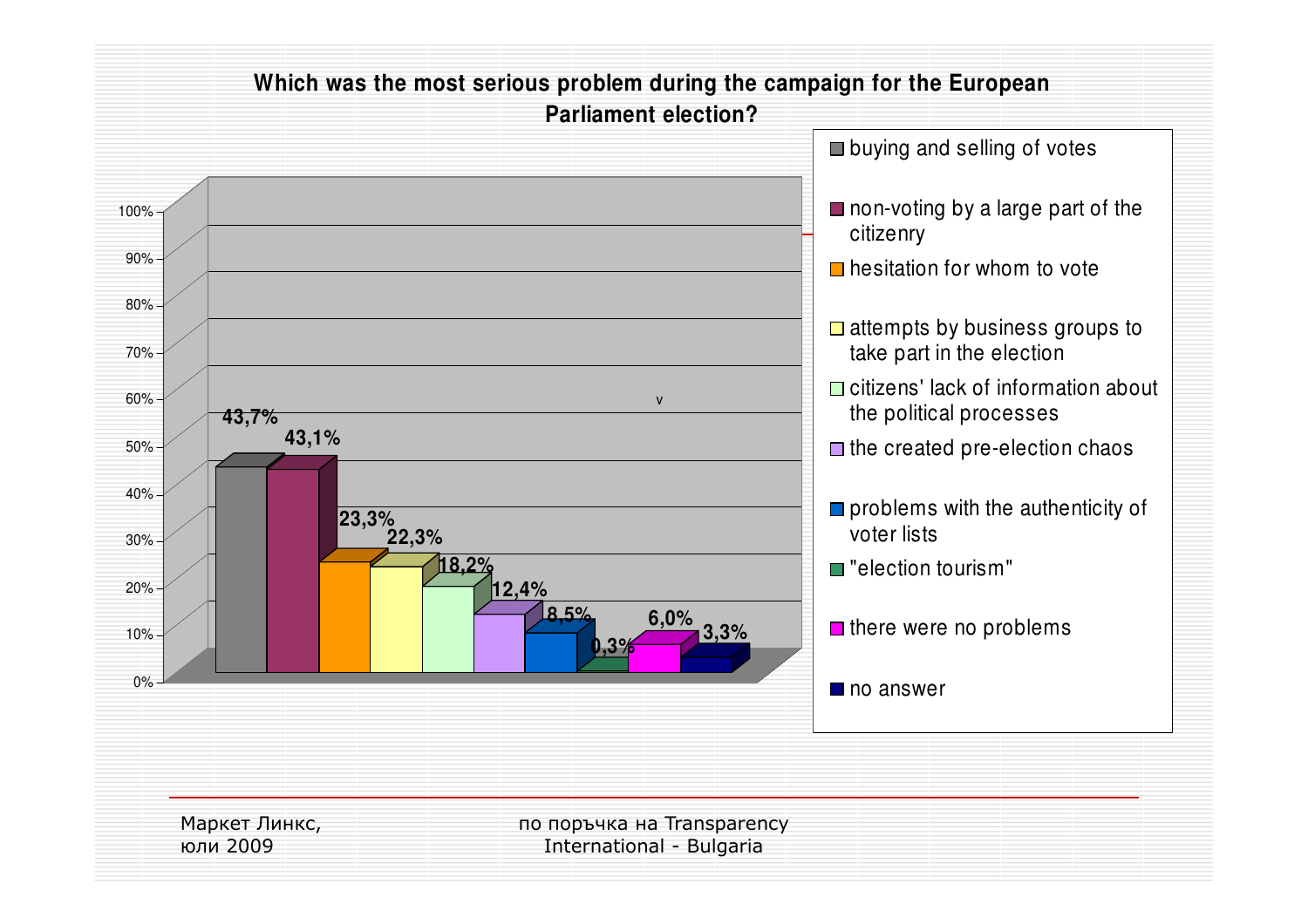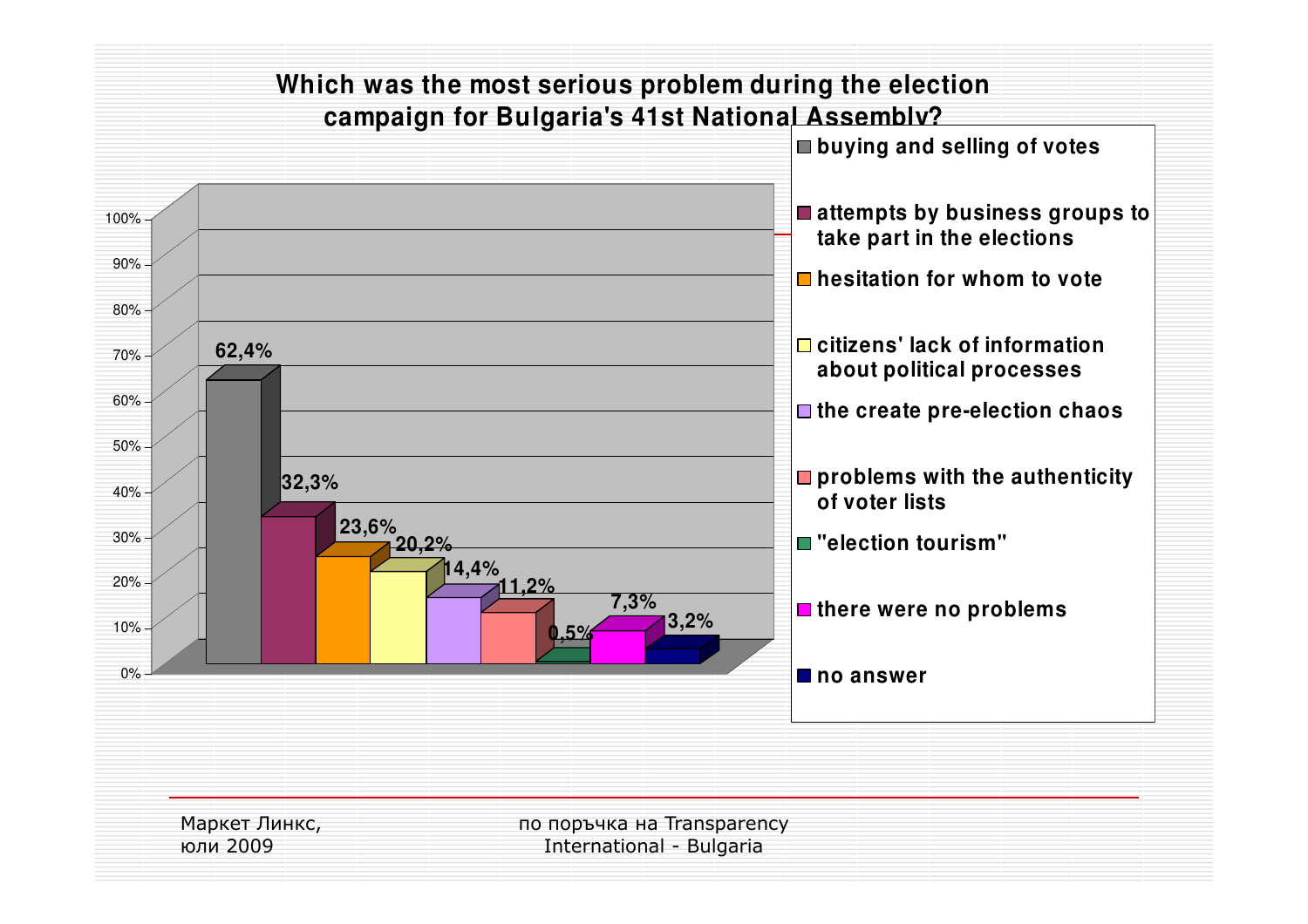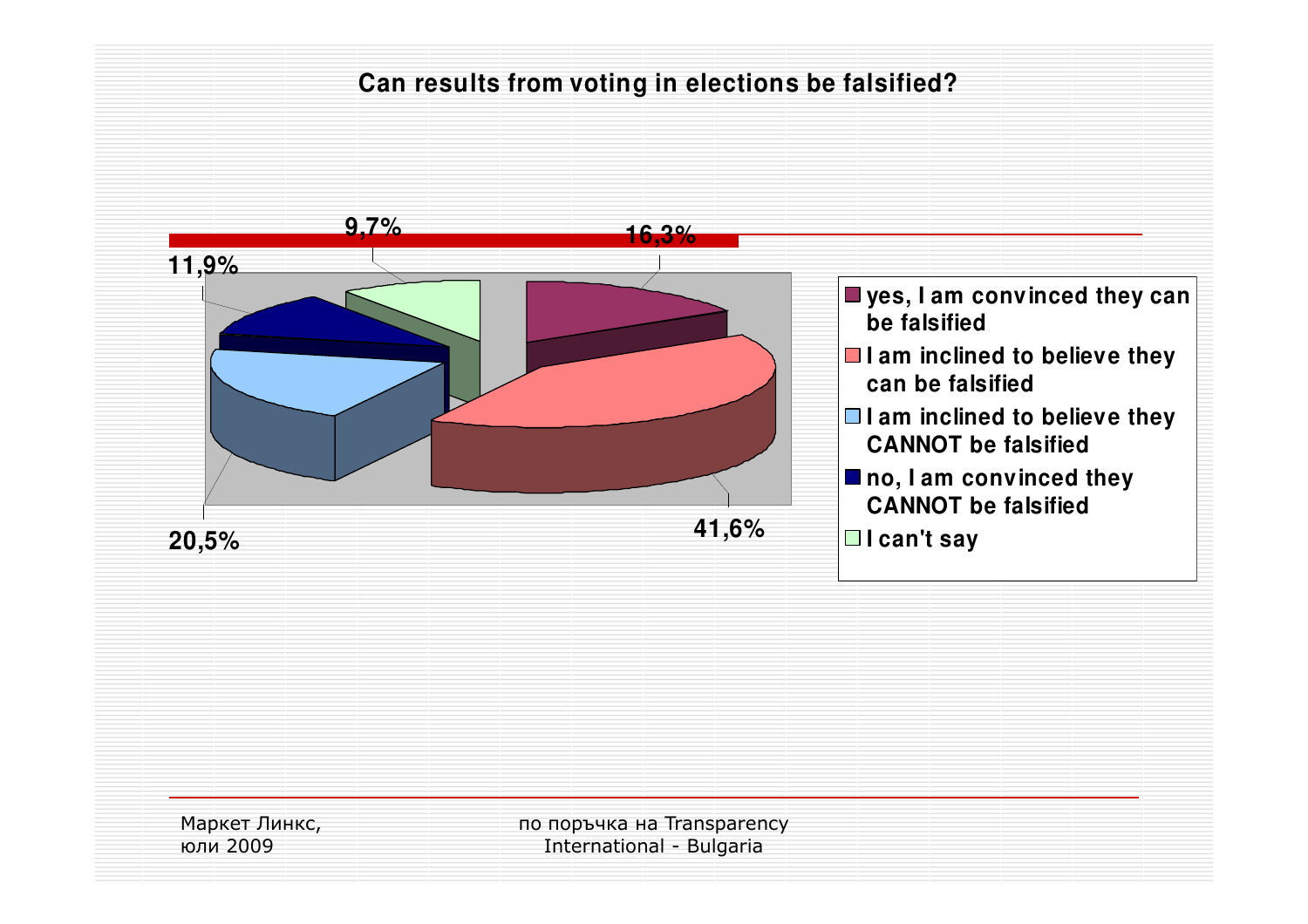#### **Can results from voting in elections be falsified?**



Маркет Линкс, юли 2009

по поръчка на Transparency International - Bulgaria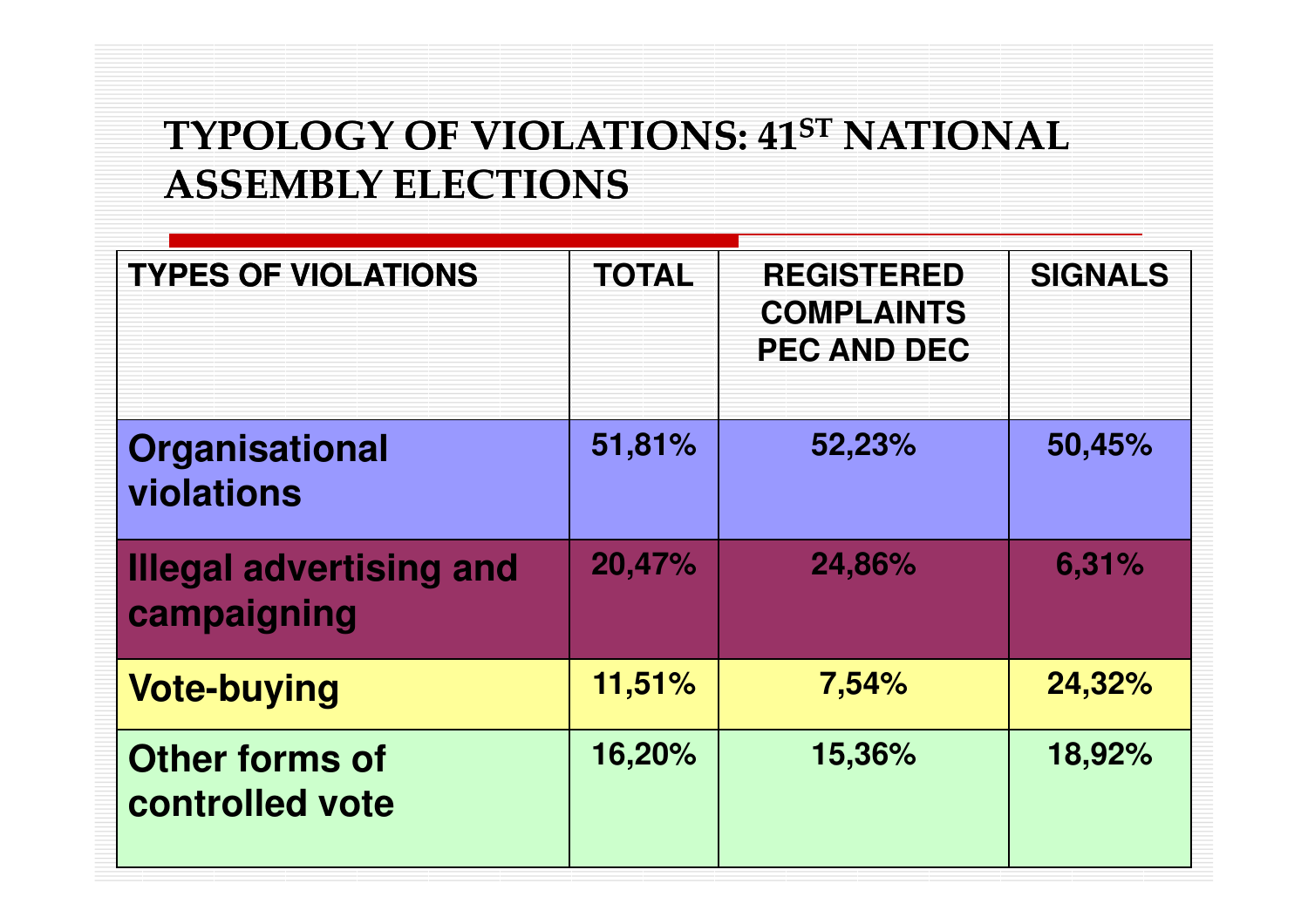#### TYPOLOGY OF VIOLATIONS: 41ST NATIONAL ASSEMBLY ELECTIONS

| <b>TYPES OF VIOLATIONS</b>                    | <b>TOTAL</b> | <b>REGISTERED</b><br><b>COMPLAINTS</b><br><b>PEC AND DEC</b> | <b>SIGNALS</b> |
|-----------------------------------------------|--------------|--------------------------------------------------------------|----------------|
| Organisational<br>violations                  | 51,81%       | 52,23%                                                       | 50,45%         |
| <b>Illegal advertising and</b><br>campaigning | 20,47%       | 24,86%                                                       | 6,31%          |
| <b>Vote-buying</b>                            | 11,51%       | 7,54%                                                        | 24,32%         |
| <b>Other forms of</b><br>controlled vote      | 16,20%       | 15,36%                                                       | 18,92%         |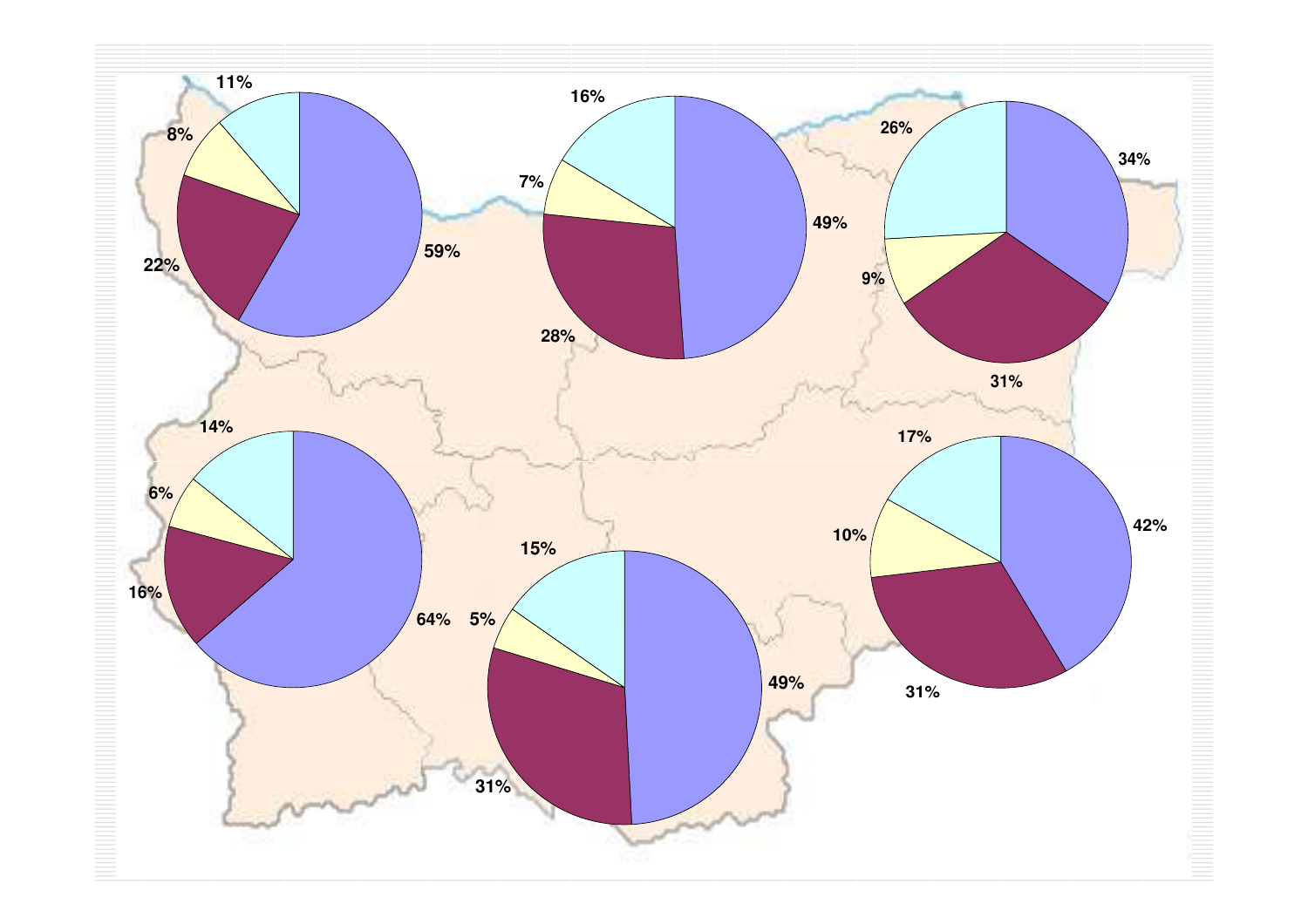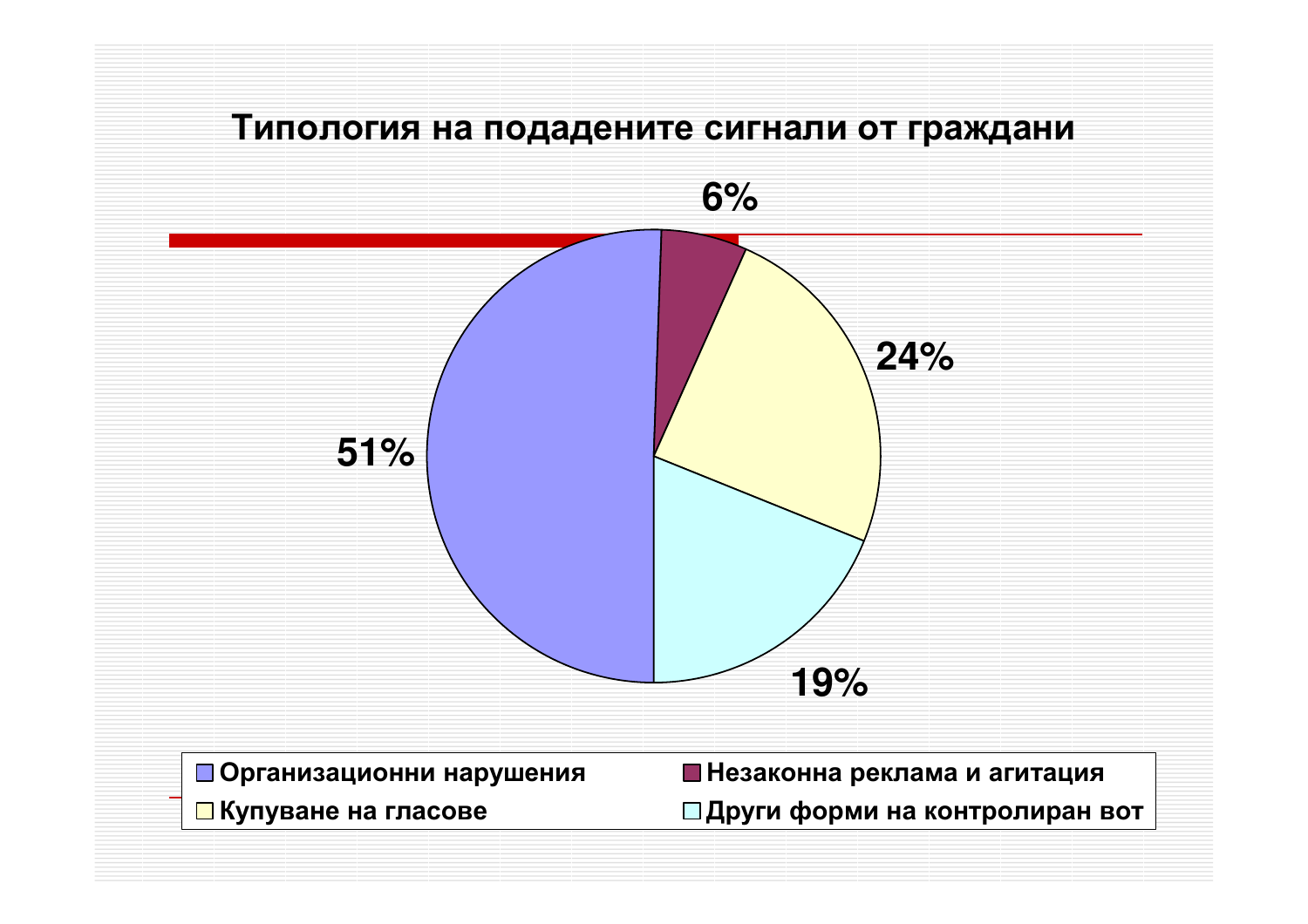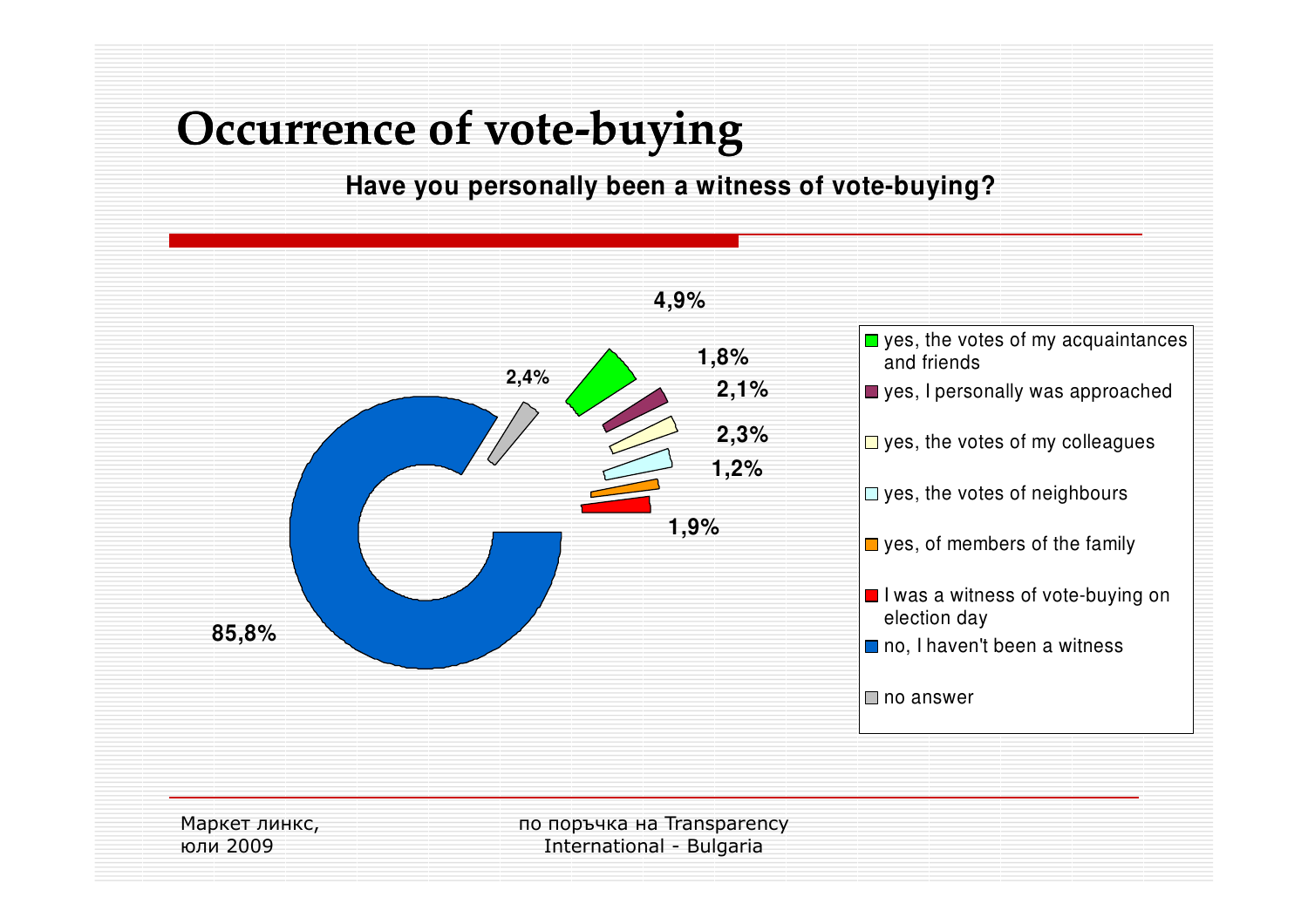# Occurrence of vote-buying

**Have you personally been a witness of vote-buying?**

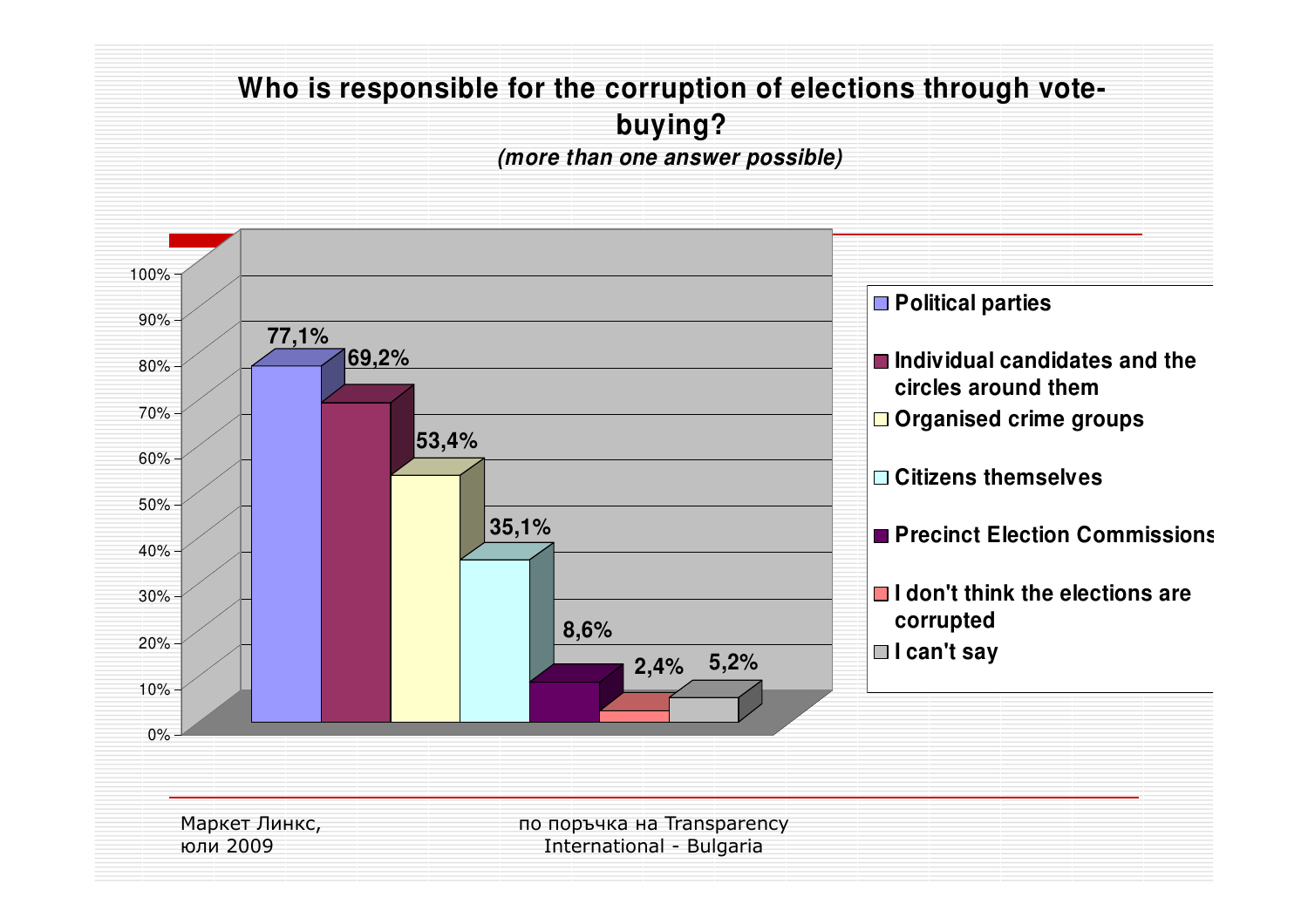